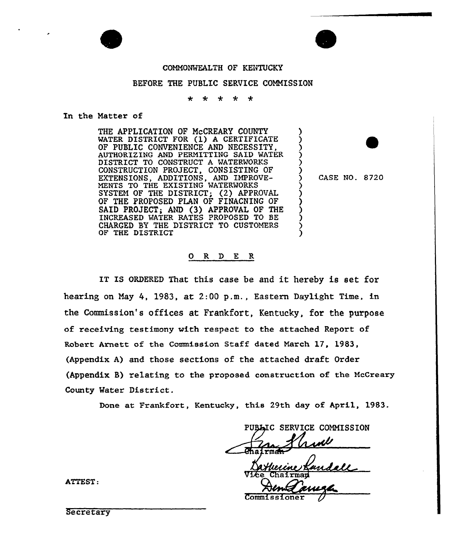

### COMMONWEALTH OF KENTUCKY

#### BEFORE THE PUBLIC SERVICE COMMISSION

÷  $\star$  $\star$  $\star$  $\star$ 

In the Matter of

THE APPLICATION OF McCREARY COUNTY WATER DISTRICT FOR (1) <sup>A</sup> CERTIFICATE OF PUBLIC CONVENIENCE AND NECESSITY, AUTHORIZING AND PERMITTING SAID WATER DISTRICT TO CONSTRUCT A WATERWORKS CONSTRUCTION PROJECT, CONSISTING OF EXTENSIONS, ADDITIONS, AND IMPROVE-MENTS TO THE EXISTING WATERWORKS SYSTEM OF THE DISTRICT; (2) APPROVAL OF THE PROPOSED PLAN OF FINACNING OF SAID PROJECT; AND (3) APPROVAL OF THE INCREASED WATER RATES PROPOSED TO BE CHARGED BY THE DISTRICT TO CUSTOMERS OF THE DISTRICT

) CASE NO. 8720

 $\begin{pmatrix} 1 \\ 2 \\ 3 \end{pmatrix}$ 

)

 $\hat{\mathcal{S}}$ ز<br>? <u>ز</u>

 $\dot{\zeta}$ ) ) ) )  $\dot{\zeta}$ )

## O R D E R

IT IS ORDERED That this case be and it hereby is set for on May 4, 1983, at 2:00 p.m., Eastern Daylight Time, in the Commission's offices at Frankfort, Kentucky, for the purpose of receiving testimony with respect to the attached Report of Robext Arnett of the Commission Staff dated March 17, 1983, (Appendix A) and those sections of the attached draft Order (Appendix B) relating to the proposed construction of the McCreary County Water District.

Done at Frankfort, Kentucky, this 29th day of April, 1983.

**BLIC SERVICE COMMISSION** 

Vice Chairm

Commissioner

ATTEST:

**Secretary**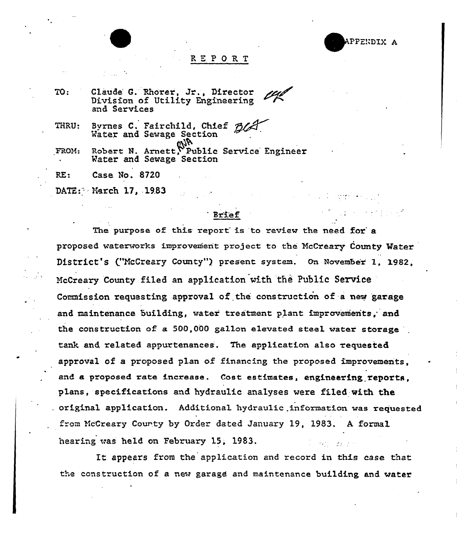E PPENDIX A

#### RK <sup>P</sup> ORT

| TO:   | Claude G. Rhorer, Jr., Director<br>Division of Utility Engineering<br>and Services |
|-------|------------------------------------------------------------------------------------|
| THRU: | Byrnes C. Fairchild, Chief Blate<br>Water and Sewage Section                       |
| FROM: | Robert N. Arnett, Public Service Engineer<br>Water and Sewage Section              |
| RE:   | Case No. 8720                                                                      |
|       | DATE: March 17, 1983                                                               |

# **Brief**

The purpose of this report is to review the need for a proposed waterworks improvement project to the McCreary County Water District's ("McCreary County") present system. On November 1, 1982, McCreary County filed an application with the Public Service Commission requesting approval of the construction of a new garage and maintenance building, water treatment plant improvements, and the construction of a 500,000 gallon elevated steel water storage tank and related appurtenances. The application also requested approval of a proposed plan of financing the proposed improvements, and a proposed rate increase. Cost estimates, engineering reports, plans, specifications and hydraulic analyses were filed with the . original application.. Additional hydraulic .information was requested from McCreary County by Order dated January 19, 1983. A formal hearing was held on February 15, 1983.

Tt appears from the application and record in this case that the construction of a new garage and maintenance building and water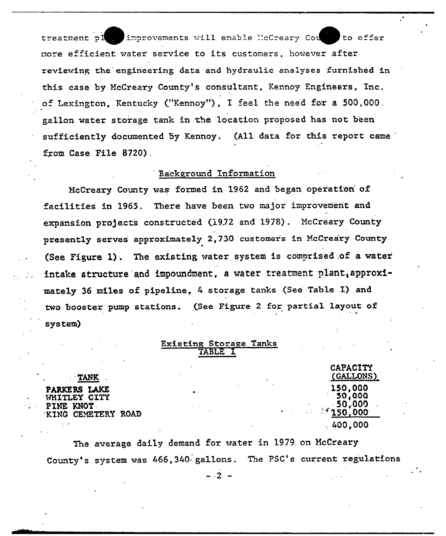improvements will enable McCreary Count to offer treatment pl more efficient water service to its customers, however after reviewing the engineering data and hydraulic analyses furnished in this case by McCreary County's consultant, Kennoy Engineers, Inc. of Lexington, Kentucky ("Kennoy"), I feel the need for a 500,000. gallon water storage tank in the location proposed has not been sufficiently documented by Kennoy. (All data for this report came from Case File 8720).

# Background Information

McCreary County was formed in 1962 and began operation of There have been two major improvement and facilities in 1965. expansion projects constructed (1972 and 1978). McCreary County presently serves approximately 2,730 customers in McCreary County (See Figure 1). The existing water system is comprised of a water intake structure and impoundment. a water treatment plant, approximately 36 miles of pipeline, 4 storage tanks (See Table I) and two booster pump stations. (See Figure 2 for partial layout of system)

| <b>Existing Storage Tanks</b> |       |  |
|-------------------------------|-------|--|
|                               | TABLE |  |

**TANK PARKERS LAKE** WHITLEY CITY PINE KNOT KING CEMETERY ROAD

**CAPACITY** (GALLONS) **150.000** 50,000 50.000 150.000  $.400.000$ 

 $\mathbf{R}$ 

The average daily demand for water in 1979 on McCreary County's system was 466,340 gallons. The PSC's current regulations

 $-.2 -$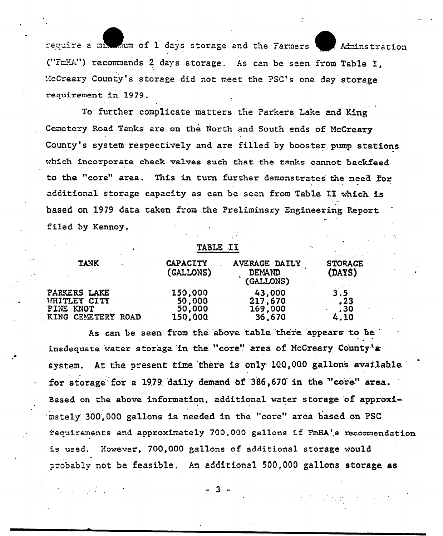require a maximum of 1 days storage and the Farmers Adminstration ("FmHA") recommends 2 days storage. As can be seen from Table I. McCreary County's storage did not meet the PSC's one day storage requirement in 1979.

To further complicate matters the Parkers Lake and King Cemetery Road Tanks are on the North and South ends of McCreary County's system respectively and are filled by booster pump stations which incorporate check valves such that the tanks cannot backfeed to the "core" area. This in turn further demonstrates the need for additional storage capacity as can be seen from Table II which is based on 1979 data taken from the Preliminary Engineering Report filed by Kennoy.

| <b>TANK</b>                                                     | <b>CAPACITY</b><br>(GALLONS)           | <b>AVERAGE DAILY</b><br><b>DEMAND</b><br>(GALLONS) | <b>STORAGE</b><br>(DAYS)  |
|-----------------------------------------------------------------|----------------------------------------|----------------------------------------------------|---------------------------|
| PARKERS LAKE<br>WHITLEY CITY<br>PINE KNOT<br>KING CEMETERY ROAD | 150,000<br>50,000<br>50,000<br>150,000 | 43,000<br>217,670<br>169,000<br>36,670             | 3.5<br>.23<br>.30<br>4.10 |

As can be seen from the above table there appears to be inadequate water storage in the "core" area of McCreary County's system. At the present time there is only 100,000 gallons available for storage for a 1979 daily demand of 386,670 in the "core" area. Based on the above information, additional water storage of approximately 300,000 gallons is needed in the "core" area based on PSC requirements and approximately 700,000 gallons if FmHA's recommendation is used. However, 700,000 gallons of additional storage would probably not be feasible. An additional 500,000 gallons storage as

- 3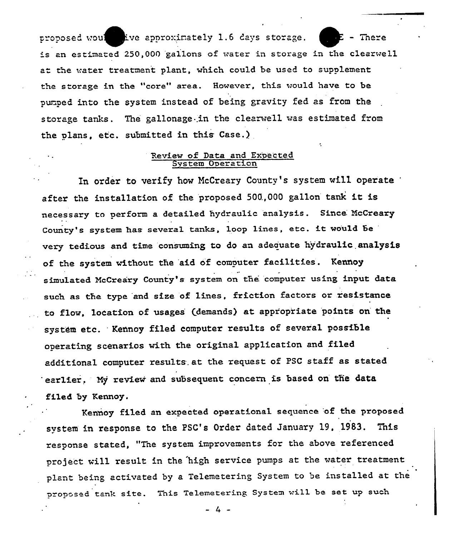proposed would live approximately 1.6 days storage.  $\Box$  = There r is an estimated 250,000 gallons of water in storage in the clearwell at the water treatment plant, which could be used to supplement the storage in the "core" area. However, this would have to be purped into the system instead of being gravity fed as from the storage tanks. The gallonage in the clearwell was estimated from the plans, etc. submitted in this Case.)

# Review of Data and Expected System Operatio

In order to verify how McCreary County's system will operate after the installation of the proposed 500.,000 gallon tank it is necessary to perform a detailed hydraulic analysis. Since. McCreary County's system has several tanks, loop lines, etc. it would be very tedious and time consuming to do an adeciuate hy'draulic analysis of the system without the aid of computer facilities. Kennoy simulated McCreary County's system on the. computer using input data such as the type and size of lines, friction factors or resistance to flow, location of usages (demands) at appropriate points on the system etc. Kennoy filed computer results of several possible operating scenarios with the original application and filed additional computer results. at. the request of PSC staff as stated earlier. My review and subsequent concern is based on the data filed by Kennoy.

Kennoy filed an expected operational sequence of the proposed system in response to the PSG's Order dated January 19, 1983. This response stated, "The system improvements for the above referenced project will result in the high service pumps at the water treatment plant being activated by a Telemetering System to be installed at the proposed tank site. This Telemetering System will be set up such

 $-4 -$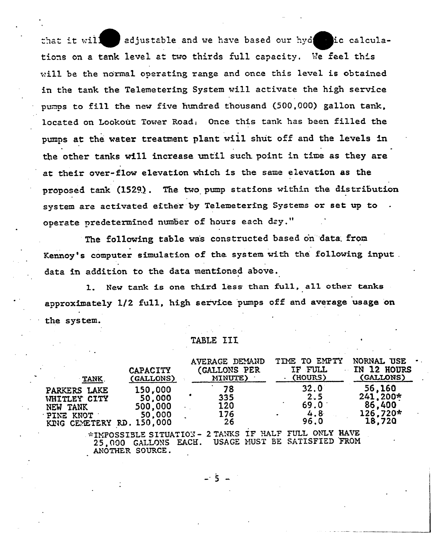that it will  $\Box$  adjustable and we have based our hyd  $\Box$  ic calculaiF tions on a tank level at two thirds full capacity. We feel this will be the normal operating range and once this level is obtained in the tank the Telemetering System will activate the high service pumps to fill the new five hundred thousand (500,000) gallon tank, located on Lookout Tower Road: Once this tank has been filled the pumps at the water treatment plant will shut off and the levels in the other tanks will increase until such point in time as they are at their over-flow elevation which is the same elevation as the proposed tank (152%) . The two pump stations within the distribution system are activated either by Telemetering Systems or set up to operate predetermined number of hours each day."

The following table was constructed based on data from Kennoy's computer simulation of the system with the following input. data in addition to the data mentioned above.

l. New tank is one third less than full, all other tanks approximately 1/2 full, high service pumps off and average usage on the system.

#### TABLE IIX,

| <b>TANK</b>                                                                        | <b>CAPACITY</b><br>(GALLONS)                           | AVERAGE DEMAND<br>(GALLONS PER<br>MINUTE) | TIME TO EMPTY<br>IF FULL<br>$\cdot$ (HOURS) | NORNAL USE<br>IN 12 HOURS<br>(GALLONS)               |
|------------------------------------------------------------------------------------|--------------------------------------------------------|-------------------------------------------|---------------------------------------------|------------------------------------------------------|
| PARKERS LAKE<br>WHITLEY CITY<br>NEW TANK<br>PINE KNOT<br>KING CEMETERY RD. 150,000 | 150,000<br>50,000<br>500,000<br>50,000                 | 78<br>335<br>120<br>176<br>26             | 32.0<br>2.5<br>69.0<br>4.8<br>96.0          | 56,160<br>$241.200*$<br>86,400<br>126,720*<br>18,720 |
|                                                                                    | *IMPOSSIBLE SITUATION - 2 TANKS IF HALF FULL ONLY HAVE |                                           |                                             |                                                      |

25,000 GALLONS EACH. USAGE MUST BE SATISFIED FROM ANOTHER SOURCE.

 $-5$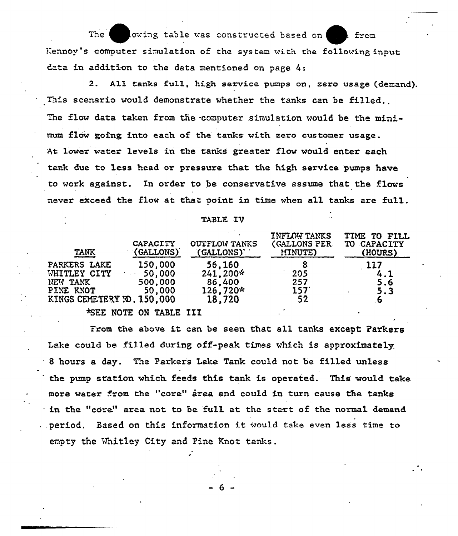$\blacksquare$ The owing table was constructed based on r Kennoy's computer simulation of the system with the following inpu data in addition to the data mentioned on page 4:

2. A11 tanks fu11, high service pumps on, zero usage (demand). This scenario would demonstrate whether the tanks can be filled. The flow data taken from the computer simulation would be the minimum flow going into each of the tanks with sero customer usage. At lower water levels in the tanks greater flow would enter each tank due to less head or pressure that. the high service pumps have to work against. In order to be conservative assume that the flows never exceed the flow at that point in time when all tanks are full.

TABLE IV

| <b>TANK</b>                                                                         | <b>CAPACITY</b><br>(GALLONS)           | <b>OUTFLOW TANKS</b><br>(GALLONS)                    | <b>INFLOW TANKS</b><br>(GALLONS PER<br>MINUTE) | TIME TO FILL<br>TO CAPACITY<br>(HOURS) |
|-------------------------------------------------------------------------------------|----------------------------------------|------------------------------------------------------|------------------------------------------------|----------------------------------------|
| PARKERS LAKE<br>WHITLEY CITY<br>NEW TANK<br>PINE KNOT<br>KINGS CEMETERY FO. 150,000 | 150,000<br>50,000<br>500,000<br>50,000 | 56,160<br>$241,200*$<br>86,400<br>126,720*<br>18,720 | 205<br>257<br>157'<br>52                       | 117<br>4.1<br>5.6<br>5.3<br>6          |
|                                                                                     | *SEE NOTE ON TABLE III                 |                                                      |                                                |                                        |

From the above it can be seen that all tanks except Parker Lake could be filled during off-peak times which is approximately <sup>8</sup> hours a day. The Parkers. Lake Tank could not be filled unless the pump station which feeds this tank is operated. This would take more water from the "core" area and could in turn cause the tanks in the "core" area not to be full at the start of the normal demand.  $.$  period. Based on this information it would take even less time to empty the Whitley City and Pine Knot tanks.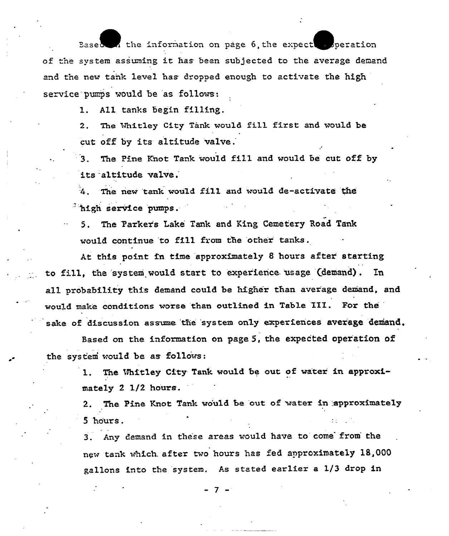Based  $\Lambda$  the information on page 6, the expect  $\sim$  peration of the system assuming it has been subjected to the average demand and the new tank level has dropped enough to activate the high service pumps would be as follows:

> All tanks begin filling.  $\mathbf{1}$ .

2. The Whitley City Tank would fill first and would be cut off by its altitude valve.

The Pine Knot Tank would fill and would be cut off by  $3<sub>1</sub>$ its altitude valve.

4. The new tank would fill and would de-activate the <sup>3</sup>high service pumps.

5. The Parker's Lake Tank and King Cemetery Road Tank would continue to fill from the other tanks.

At this point in time approximately 8 hours after starting to fill, the system would start to experience usage (demand). In all probability this demand could be higher than average demand, and would make conditions worse than outlined in Table III. For the sake of discussion assume the system only experiences average demand.

Based on the information on page 5, the expected operation of the system would be as follows:

> 1. The Uhitley City Tank would be out of water in approximately 2 1/2 hours.

2. The Pine Knot Tank would be out of water in approximately 5 hours.

3. Any demand in these areas would have to come from the new tank which after two hours has fed approximately 18,000 gallons into the system. As stated earlier a 1/3 drop in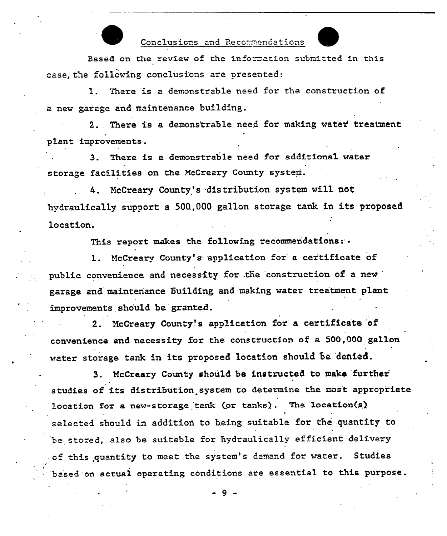# Conclusions and Recommendations

Based on the review of the information submitted in this case, the following conclusions are presented:

1. There is a demonstrable need for the construction of a new garage and maintenance building.

2. There is a demonstrable need for making water treatment plant improvements.

3. There is a demonstrable need for additional water storage facilities on the NcCreary County system.

McCreary County's distribution system will not hydraulically support <sup>a</sup> 500.,000 gallon storage tank in its proposed location.

This report makes the following recommendations:

l. NcCreary County's. application for <sup>a</sup> certificate of public convenience and necessity for the construction of a new garage and maintenance building and making water treatment plant improvements should be granted.

2. McCreary County's application for a certificate of convenience and necessity for the construction of a 500,000 gallon water storage tank in its proposed location should be denied.

3. McCreary County should be instructed to make further studies of its distribution system to determine the most appropriate location for a new-storage tank (or tanks). The location(s) selected should in addition to being suitable for the quantity to be stored, also be suitable for hydraulically efficient delivery of this quantity to meet the system's demand for water. Studies based on actual operating conditions are essential to this purpose.

9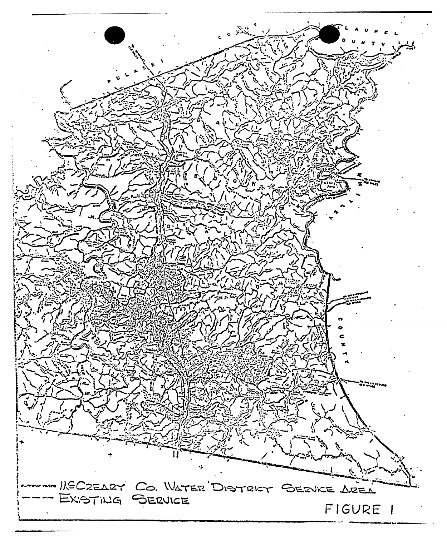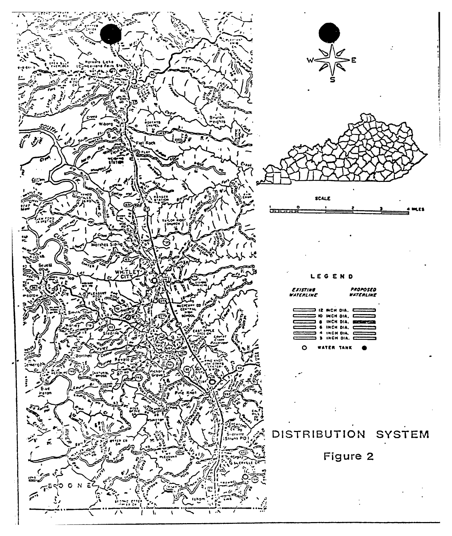



LEGEND

| Existing<br>WATERLINE                              | PROPOSED<br>WATERLINE |  |  |
|----------------------------------------------------|-----------------------|--|--|
| $\Box \Box \Box$ iz wen dia. $\Box \Box \Box \Box$ |                       |  |  |
| $\overline{C}$ or the state $\overline{C}$         |                       |  |  |
| <b>CONTINUES &amp; INCH DIA, EDITORIAL</b>         |                       |  |  |
| CONTECT & INCH DIA, CONTECT                        |                       |  |  |
| $\sim$ 4 INCH DIA. $\sim$                          |                       |  |  |
|                                                    |                       |  |  |
|                                                    |                       |  |  |

# DISTRIBUTION SYSTEM

Figure 2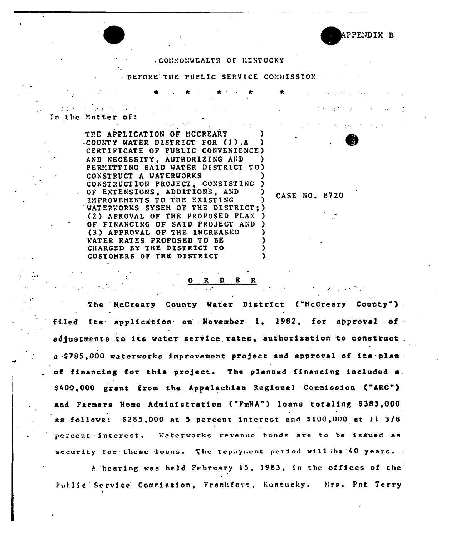

#### . COMMONWEALTH OF KENTUCKY

BEFORE THE PUBLIC SERVICE COMMISSION

In the Matter of:

THE APPLICATION OF MCCREARY -COUNTY WATER DISTRICT FOR (1) A CERTIFICATE OF PUBLIC CONVENIENCE) AND NECESSITY, AUTHORIZING AND PERMITTING SAID WATER DISTRICT TO) CONSTRUCT A WATERWORKS CONSTRUCTION PROJECT. CONSISTING OF EXTENSIONS, ADDITIONS, AND IMPROVEMENTS TO THE EXISTING WATERWORKS SYSEM OF THE DISTRICT; ) (2) APROVAL OF THE PROPOSED PLAN OF FINANCING OF SAID PROJECT AND (3) APPROVAL OF THE INCREASED. WATER RATES PROPOSED TO BE CHARGED BY THE DISTRICT TO CUSTOMERS OF THE DISTRICT

CASE NO. 8720

R <u>D E</u>

The McCreary County Water District ("McCreary County"). filed its application on November 1, 1982, for approval of adjustments to its water service rates, authorization to construct a \$785,000 waterworks improvement project and approval of its plan of financing for this project. The planned financing included a. \$400,000 grant from the Appalachian Regional Commission ("ARC") and Farmers Home Administration ("FmHA") loans totaling \$385,000 as follows: \$285,000 at 5 percent interest and \$100,000 at 11 3/8 percent interest. Waterworks revenue bonds are to be issued as security for these loans. The repayment period will be 40 years.

A hearing was held February 15, 1983, in the offices of the Public Service Commission, Frankfort, Kentucky. Mrs. Pat Terry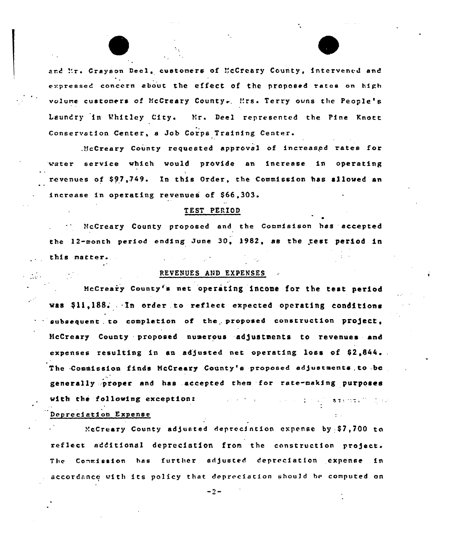and ".r. Crayson Decl, customers of "cCreary County, intervened and expressed concern about the effect of the proposed rates on high volume customers of McCreary County. Mrs. Terry owns the People's Laundry in Whitley City. Mr. Deel represented the Pine Knott Conservation Center, a Job Corps Training Center.

..'fcCreary County requested approval of increasgd rates for water service which would provide an increase in operating revenues of \$97,749. In this Order, the Commission has allowed an increase in operating revenues of \$66.303.

## TEST PERIOD

HcCreery County proposed and the Commisison has accepted the 12-month period ending June 30, 1982, as the test period in this matter.

## REVENUES AND EXPENSES

 $\mathcal{L} = \{ \mathcal{L} \}$ 

McCreary County's net operating income for the test period was \$11,188. In order to reflect expected operating conditions subsequent to completion of the proposed construction project, HcCreary County proposed numerous adjustments to revenues and expenses resulting in an adjusted net operating loss of  $$2,844$ . The Commission finds McCreary County's proposed adjustments, to be generally .:proper and has .accepted them for rate-making purposes with the following exceptions of the subset of the street,  $\mathbb{C}$  is the street. Depreciation Expense

 $XcCreary$  County adjusted deprecintion expense by \$7,700 to reflect additional depreciation from the construction project. The Commission has further adjusted depreciation expense in accordance with its policy that depreciation should be computed on

 $-2-$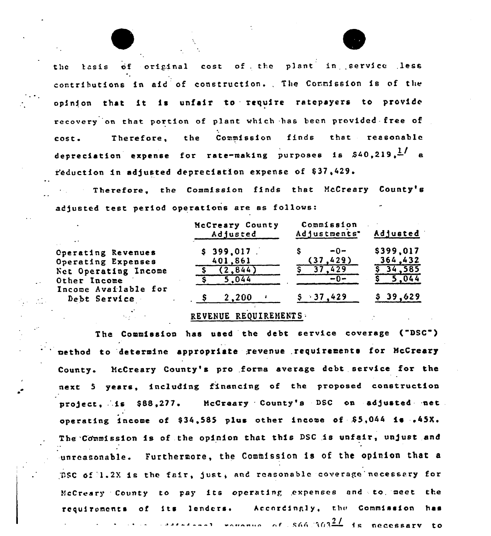the tasis of original cost of the plant in service less contributions in aid of construction. The Commission is of the opinion that it is unfair to require ratepayers to provide recovery on that portion of plant which has been provided free of Therefore, the Commission finds that reasonable cost. depreciation expense for rate-making purposes is  $540,219$ ,  $\frac{1}{1}$  a reduction in adjusted depreciation expense of \$37,429.

Therefore, the Commission finds that McCreary County's adjusted test period operations are as follows:

| $\ddot{\phantom{1}}$                 | McCreary County<br>Adjusted | Commission<br>Adjustments* | Adjusted  |
|--------------------------------------|-----------------------------|----------------------------|-----------|
| <b>Cperating Revenues</b>            | \$399.017                   | $-0-$                      | \$399,017 |
| Operating Expenses                   | 401,861                     | (37, 429)                  | 364.432   |
| Net Operating Income                 | 2.844                       | 429                        | 34,585    |
| Other Income                         | 5.044                       | $-0-$                      | 5,044     |
| Income Available for<br>Debt Service | 2,200                       | $\cdot$ 37,429             | \$39,629  |

# REVENUE REQUIREMENTS

The Commission has used the debt service coverage ("DSC") method to determine appropriate revenue requirements for McCreary County. McCreary County's pro forma average debt service for the next 5 years, including financing of the proposed construction project, is \$88,277. McCreary County's DSC on adjusted net operating income of \$34,585 plus other income of \$5,044 is .45X. The Commission is of the opinion that this DSC is unfair, unjust and unreasonable. Furthermore, the Commission is of the opinion that a DSC of 1.2X is the fair, just, and reasonable coverage necessary for McCreary County to pay its operating expenses and to meet the of its lenders. Accordingly, the Commission has requirements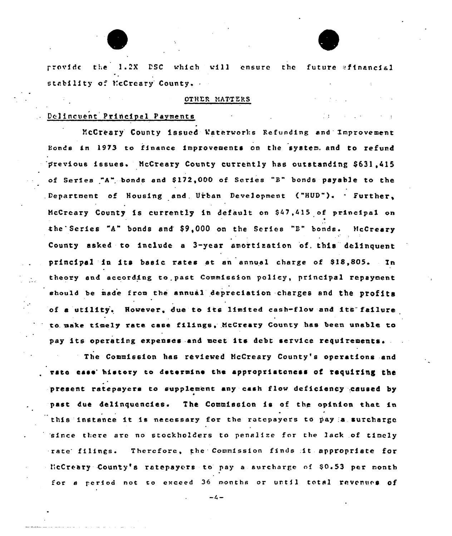provide the 1.2X DSC which will ensure the future afinancial stability of NcCreary' County.

# OTHER MATTERS

 $1.41$ 

#### Delincuent Principal Payments

YcCreary County issued Vaterworks Refvnding and 1mprovement Bonds in 1973 to finance improvements on the system. and to refund previous issues. McCreary County currently has outstanding \$631.415 of Series "A". bonds and \$ 172,000 of Series "8" bonds payable to the Department of Housing and Urban Development ("HUD"). · Further, NcCrcary County is currently in default on S47.415 of pzincipal on the Series "A" bonds and \$9,000 on the Series "B" bonds. McCreary County asked to include a 3-year amortization of. this delinquent principal in its basic rates at an annual charge of \$18,805. In theory and according to. past Commission policy, principal repayment should be made from the annual depreciation charges and the profits of a utility. However, due to its limited cash-flow and its failure to. make timely rate case filings, NcCreary County has been unable to pay its operating expenses and meet its debt service requirements.

Commission has reviewed HcCreary County's operations and rato ease history to determine the appropriatoness of requiring the present ratepayers to supplement any cash flow deficiency caused by past due delinquencies. The Commission is of the opinion that in this instance it is necessary for the ratepayers to pay a surcharge 'since there are no stockholders to penalize for the lack of timely rate filings. Therefore, the Commission finds it appropriate for HcCreary County's ratepayors to pay a surcharge of \$0.53 per month for a period not to exceed 36 months or until total revenues of

 $-4-$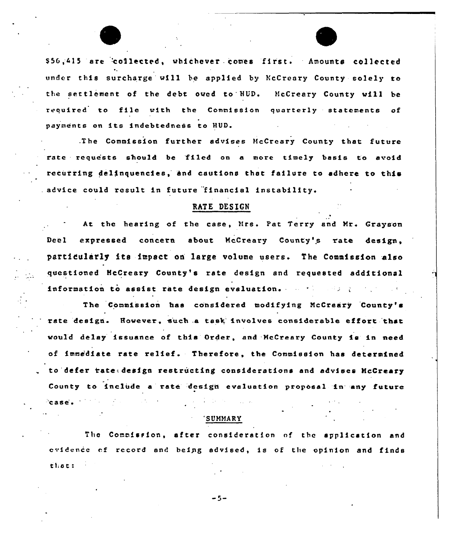\$56,415 are collected, whichever comes first. Amounts collected under this surcharge ui11 he applied by NcCreary County solely to the settlement of the debt oved to HUD. McCreary County will be required to file with the Commission quarterly statements of payments on its indebtedness to HUD.

.The Commission further advises HcCrcary County that future rate requests should be 'filed on a more timely basis to avoid recurring delinquencies, hnd cautions that failure to adhere to this advice could result in future financial instability.

#### RATE DESIGN

At the hearing of the case, Mrs. Pat Terry and Mr. Grayson Deel expressed concern about McCreary County's rate design, particularly its impact on large volume users. The Commission also questioned HcCreery County's rate design and requested additional information to assist rate design evaluation,

 $\sim 10$ 

The Commission has considered modifying NcCreary County' rate design. However, such a task involves considerable effort that vould delay issuance of this Order, and -NcCreary County is in need of imme'diate rate relief. Therefore, the Commission has determined to defer tate: design restructing considerations and advises McCreary County to include a rate design evaluation proposal in any future 'case'  $\frac{1}{2} \left( \mathbf{r} - \mathbf{r}^2 \mathbf{r} \right) = \frac{1}{2} \left( \mathbf{r} - \mathbf{r} \mathbf{r} \right) = \frac{1}{2} \mathbf{r} \mathbf{r}$ 

#### "SUMMARY

The Commission, after consideration nf the application and evidence of record and being advised, is of the opinion and finds tl;ac:

 $-5-$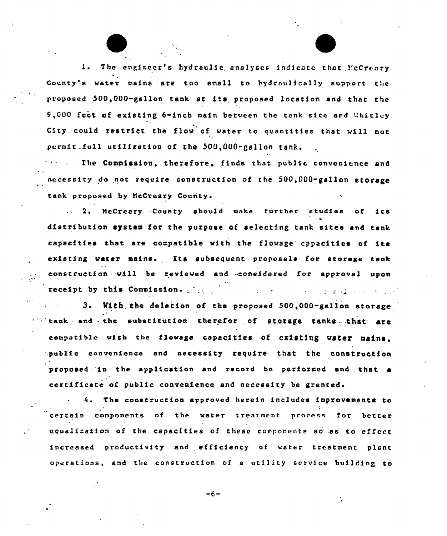The engineer's hydraulic analyses indicate that McCreary County's water nains are too small to hydraulically support the proposed -500,000-gallon tank st its. proposed location and that the 9,000 feet of existing 6-inch main between the tank site and Whitley City could restrict the flow of water to quantities that vill not permit.full utilization of the 500,000-gallon tank.

The Commission, therefore, finds that public convenience and necessity do not require construction of the 500,000-gallon storage tank proposed by NcCreary County.

<sup>2</sup> <sup>~</sup> McCreary County should make further studies of ita distribution system for the purpose of selecting tank sites and tan! capacities that are compatible with the flowage capacities of its existing water mains. Its subsequent proposals for storage tank construction vill be reviewed and -considered for approval upon receipt, by this Commission, .  $\label{eq:R1} \mathcal{L}(\mathcal{L}^{\mathcal{A}}(\mathcal{L}^{\mathcal{A}}(\mathcal{L}^{\mathcal{A}}(\mathcal{L}^{\mathcal{A}}(\mathcal{L}^{\mathcal{A}}(\mathcal{L}^{\mathcal{A}}(\mathcal{L}^{\mathcal{A}}(\mathcal{L}^{\mathcal{A}}(\mathcal{L}^{\mathcal{A}}(\mathcal{L}^{\mathcal{A}}(\mathcal{L}^{\mathcal{A}}(\mathcal{L}^{\mathcal{A}}))))))$ 

3. With the deletion of the proposed 500,000-gallon storage  $t$  tank and the substitution therefor of storage tanks that are compatible with the flowage capacities of existing water mains. public convenience and necessity require that the construction proposed 'in the application and record be performed and . that a certificate of public convenience and necessity be granted.

4. The construction approved herein includes improvements to certain components of the water treatment process for better .equalizatfon of the capacities of these components so,as to effect increased productivity and efficiency of water treatment . plant operations, and the construction of <sup>a</sup> utility service building to

 $-6-$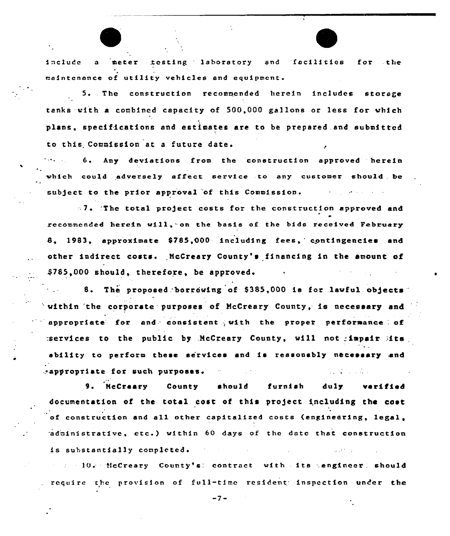include a meter testing laboratory and facilities for the maintenance of utility vehicles and equipmcnt.

F

5..The construction recommended herein includes storage tanks -with a combined capacity of 500,000 gallons or less for which plans, specifications and estimates are to be prepared.and submitted to this Commission at <sup>a</sup> future date.

6. Any deviations from the construction approved herein vhich could adversely effect service to any customer should be subject to the prior approval of this Commission.

'7 <sup>~</sup> .'The total pro)ect costs for the construction approved and  $\bullet$ recommended herein will, on the basis of the bids received February 8, 1983, approximate \$785,000 including fees, contingencies and other indirect costs. McCreary County's financing in the amount of \$785,000 should, therefore, be approved.

8. The proposed borrowing of \$385,000 is for lawful objects within the corporate purposes of McCreary County, is necessary and  $\blacksquare$  appropriate for and consistent with the proper performance of  $:$ services to the public by  $M$ cCreary County, will not impair  $M$ ts ability to perform these services and is reasonably necessary and ..appropriate for such purposes'.

NcCreary County should furnish duly verified documentation of the total cost of this project including the cost of construction and all other capitalized costs (engineering, legal, administrative, etc.) within 60 days of the date that construction is substantially completed.

low McCreary County's! contract with its sengineer! should require the provision of full-time resident: inspection under the

 $-7-$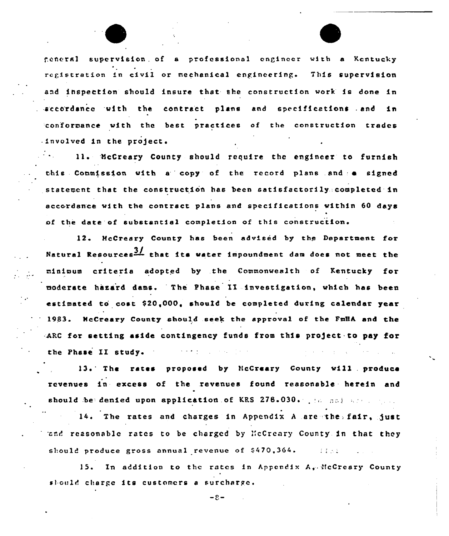feneral supervision of a professional engineer with a Kentucky registration in civil or mechanical engineering. This supervision and inspection should insure that she construction work is done in accordance with the contract plans and specifications and in conformance with the best practices of the construction trades  $binomial$  involved in the project.

11. McCreary County should require the engineer to furnish this Conmission with a copy of the record plans and a signed statement that the construction has been satisfactorily completed in accordan'ce with the contract plans and specfficatfons within 60 days of the date of substantial completion of this construction.

12. McCreary County has been advised by the Department. fot Natural Resources $\frac{31}{2}$  that its water impoundment dam does not meet the mfnfmum criteria adopted by .the Commonwealth of Kentucky for moderate hazard dams. The Phase II investigation, which has been estimated to cost \$20,000, should be completed durfng calendar year 1983. HcCreary County should seek the approval of the FmHA and the .ARC for setting aside contingency funds from this project to pay for  $\label{eq:1} \mathcal{L}^{\mathcal{L}}(\mathcal{L}^{\mathcal{L}}(\mathcal{L}^{\mathcal{L}}(\mathcal{L}^{\mathcal{L}}(\mathcal{L}^{\mathcal{L}}(\mathcal{L}^{\mathcal{L}}(\mathcal{L}^{\mathcal{L}}(\mathcal{L}^{\mathcal{L}}(\mathcal{L}^{\mathcal{L}}(\mathcal{L}^{\mathcal{L}}(\mathcal{L}^{\mathcal{L}}(\mathcal{L}^{\mathcal{L}}(\mathcal{L}^{\mathcal{L}}(\mathcal{L}^{\mathcal{L}}(\mathcal{L}^{\mathcal{L}}(\mathcal{L}^{\mathcal{L}}(\mathcal{L$ the Phase II study.

13. The rates proposed by NcCreary County will produce revenues in excess of the revenues found reasonable herein and should be denied upon application of KRS 278.030. The not application

14. The rates and charges in Appendix A are the fair, just rand reasonable rates to be charged by McCreary County in that they should produce gross annual revenue of \$470,364.  $-11.11$ 

15. In addition to the rates in Appendix A,'fcCreary County should charge its customers a surcharge.

 $-2 -$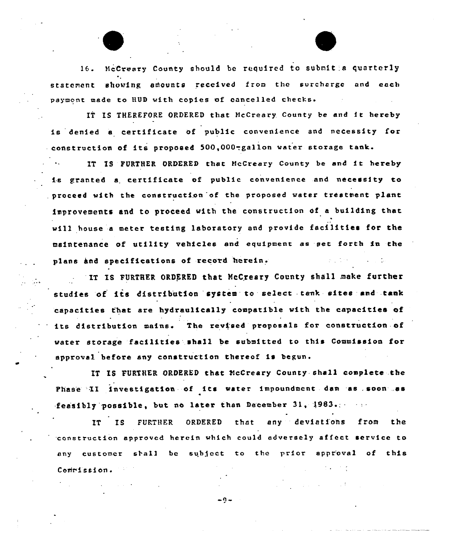16. NcCresry County should be required to submit:a quarterly statement showing amounts received from the surcharge and each payment made to HUD with copies of cancelled checks.

IT IS THEREFORE ORDERED that McCreary County be and it hereby is denied <sup>a</sup> certificate of public convenience and necessity for construction of its proposed 500,000-gallon water storage tank.

IT IS FURTHER ORDERED that HcCreary County be and it hereby is granted <sup>a</sup> certificate of public convenience and necessity to proceed with the construction of the proposed water treatment plant improvements and to proceed with the construction of a building thar. will house <sup>a</sup> meter testing laboratory and provide facilities for the maintenance of utility vehicles and equipment as set forth in the plans and specifications of record herein.

IT IS FURTHER ORDERED that McCreary County shall make further studies of its distribution system to select tank sites and tank capacities that are hydraulically compatible with the capacities of its distribution mains. The revised proposals for construction of water storage facilities'hall be submitted to this Commission for approval before any construction thereof is begun.

IT IS FURTHER ORDERED that McCreary County shall complete the Phase II investigation of its water impoundment dam as soon .. as feasibly possible, but no later than December 31, 1983.

IT IS FURTHER ORDERED that any deviatfons from the construction approved herein which could adversely affect service to any customer shall be subject to the prior approval of this Commission.

 $-9-$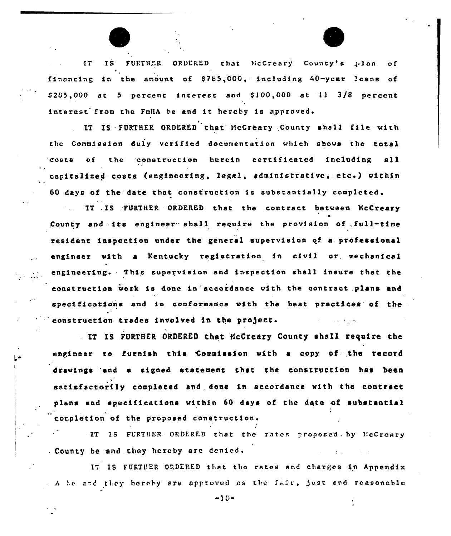

IS FURTHER ORDERED that McCreary County's plan IT.  $\circ f$ financing in the anount of \$785,000, including 40-year loans of  $$285,000$  at 5 percent interest and  $$100,000$  at 11  $3/8$  percent interest from the FmilA be and it hereby is approved.

IT IS FURTHER ORDERED that McCreary County shall file with the Commission duly verified documentation which shows the total costs of the construction herein certificated including all capitalized costs (engineering, legal, administrative, etc.) within 60 days of the date that construction is substantially completed.

... IT IS FURTHER ORDERED that the contract between McCreary County and its engineer shall require the provision of full-time resident inspection under the general supervision of a professional engineer with a Kentucky registration in civil or mechanical engineering. This supervision and inspection shall insure that the construction work is done in accordance with the contract plans and specifications and in conformance with the best practices of the construction trades involved in the project.

IT IS FURTHER ORDERED that McCreary County shall require the engineer to furnish this Commission with a copy of the record drawings and a signed statement that the construction has been satisfactorily completed and done in accordance with the contract plans and specifications within 60 days of the date of substantial completion of the proposed construction.

IT IS FURTHER ORDERED that the rates proposed by McCreary County be and they hereby are denied.

IT IS FURTHER ORDERED that the rates and charges in Appendix . A be and they hereby are approved as the fair, just and reasonable

 $-10-$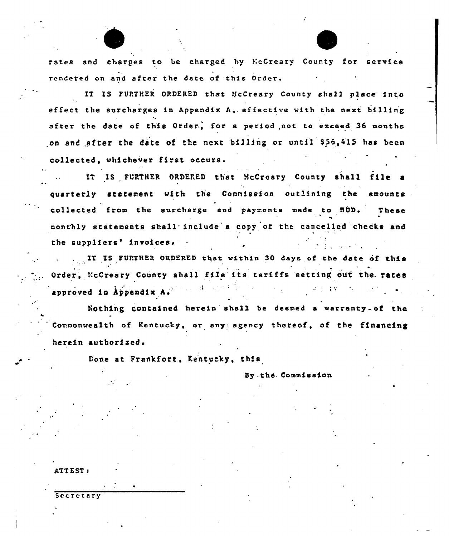rates and charges to be charged by NcCreary' County for service rendered on and after the date of this Order.

 $\overline{\phantom{a}}$ 

IT IS FURTHER ORDERED that UcCreary County shall place into effect the surcharges in Appendix A, effective with the next  $b111$ ing after the date of this Order, for a period not to exceed 36 months on and after the date of the next billing or until \$56,415 has been collected, whichever first occurs.

IT IS FURTHER ORDERED that McCreary County shall file a quarterly statement with the Commission outlining the amounts collected from the surcharge and payments made to HUD. These monthly statements Shall include a copy of the cancelled checks and the suppliers' invoices.

IT IS FURTHER ORDERED that within 30 days of the date of this Order, NcCreary County shall file its tariffs setting out the rates approved in Appendix A.

Nothing contained herein shall be deemed a warranty- of the 'ommonwealth of Kentucky, or any: agency thereof, of the financing herein authorized.

Done at Frankfort, Kentucky, this

Sy - the. Commission

ATTEST:

Secretary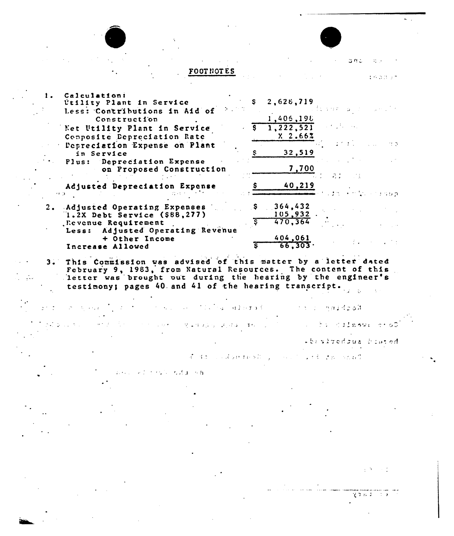|                                                                                                                                                                                                                                                          |                                     |     | コロニ     |
|----------------------------------------------------------------------------------------------------------------------------------------------------------------------------------------------------------------------------------------------------------|-------------------------------------|-----|---------|
| <b>FOOTNOTES</b>                                                                                                                                                                                                                                         |                                     |     | おちの ひっさ |
| Calculation:<br>Utility Plant in Service<br>Less: Contributions in Aid of                                                                                                                                                                                | 2,628,719                           |     |         |
| Construction<br>Net Utility Plant in Service<br>Composite Depreciation Rate<br>Depreciation Expense on Plant                                                                                                                                             | 1,405,198<br>1,222,521<br>$X2$ .662 |     | 11.03   |
| in Service<br>Plus: Depreciation Expense<br>on Proposed Construction                                                                                                                                                                                     | 32,519<br>7,700                     | 2.1 |         |
| Adjusted Depreciation Expense<br><b>17. 33</b>                                                                                                                                                                                                           | 40,219                              |     | sob     |
| 2. Adjusted Operating Expenses<br>$1.2X$ Debt Service (\$88,277)<br>. Revenue Requirement<br>Adjusted Operating Revenue<br>Less:                                                                                                                         | 364.432<br>105,932<br>470.364       |     |         |
| + Other Income<br>Increase Allowed                                                                                                                                                                                                                       | 404,061<br>66.303.                  |     |         |
| 3. This Commission was advised of this matter by a letter dated<br>February 9, 1983, from Natural Resources. The content of this<br>letter was brought out during the hearing by the engineer's<br>testimony; pages 40 and 41 of the hearing transcript. |                                     |     |         |

 $\mathcal{O}(\mathcal{F}^{\mathcal{O}}_{\mathcal{O}}(\mathcal{F}))$ 

y; pages 40 and 41 of the hearing transcript.

s skrivedous blated

 $\mathcal{A}$  and  $\mathcal{A}$  are considered by a second land  $\mathcal{A}$  and  $\mathcal{A}$ 

 $\label{eq:1} \mathcal{L} = \mathcal{L}(\mathcal{L} \mathcal{L} \mathcal{L}^{\text{c}}) \cong \mathcal{L}(\mathcal{L} \mathcal{L}^{\text{c}} \mathcal{L}^{\text{c}}) \cong \mathcal{L}(\mathcal{L} \mathcal{L}^{\text{c}} \mathcal{L}^{\text{c}}) \cong \mathcal{L}(\mathcal{L}^{\text{c}} \mathcal{L}^{\text{c}})$ 

 $\alpha \in \mathcal{J}$ 

C Tarry